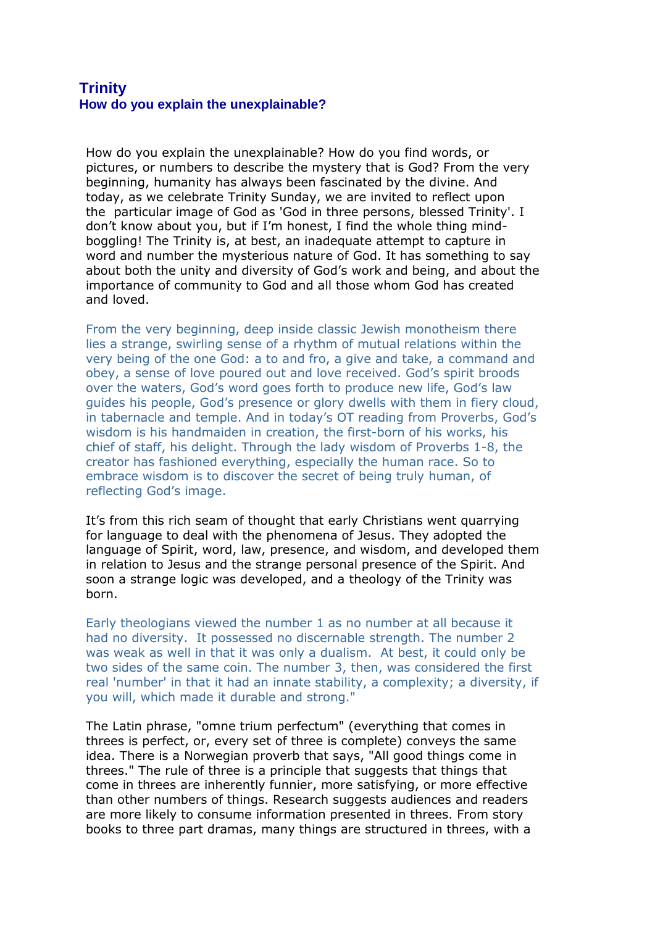## **Trinity How do you explain the unexplainable?**

How do you explain the unexplainable? How do you find words, or pictures, or numbers to describe the mystery that is God? From the very beginning, humanity has always been fascinated by the divine. And today, as we celebrate Trinity Sunday, we are invited to reflect upon the particular image of God as 'God in three persons, blessed Trinity'. I don't know about you, but if I'm honest, I find the whole thing mindboggling! The Trinity is, at best, an inadequate attempt to capture in word and number the mysterious nature of God. It has something to say about both the unity and diversity of God's work and being, and about the importance of community to God and all those whom God has created and loved.

From the very beginning, deep inside classic Jewish monotheism there lies a strange, swirling sense of a rhythm of mutual relations within the very being of the one God: a to and fro, a give and take, a command and obey, a sense of love poured out and love received. God's spirit broods over the waters, God's word goes forth to produce new life, God's law guides his people, God's presence or glory dwells with them in fiery cloud, in tabernacle and temple. And in today's OT reading from Proverbs, God's wisdom is his handmaiden in creation, the first-born of his works, his chief of staff, his delight. Through the lady wisdom of Proverbs 1-8, the creator has fashioned everything, especially the human race. So to embrace wisdom is to discover the secret of being truly human, of reflecting God's image.

It's from this rich seam of thought that early Christians went quarrying for language to deal with the phenomena of Jesus. They adopted the language of Spirit, word, law, presence, and wisdom, and developed them in relation to Jesus and the strange personal presence of the Spirit. And soon a strange logic was developed, and a theology of the Trinity was born.

Early theologians viewed the number 1 as no number at all because it had no diversity. It possessed no discernable strength. The number 2 was weak as well in that it was only a dualism. At best, it could only be two sides of the same coin. The number 3, then, was considered the first real 'number' in that it had an innate stability, a complexity; a diversity, if you will, which made it durable and strong."

The Latin phrase, "omne trium perfectum" (everything that comes in threes is perfect, or, every set of three is complete) conveys the same idea. There is a Norwegian proverb that says, "All good things come in threes." The rule of three is a principle that suggests that things that come in threes are inherently funnier, more satisfying, or more effective than other numbers of things. Research suggests audiences and readers are more likely to consume information presented in threes. From story books to three part dramas, many things are structured in threes, with a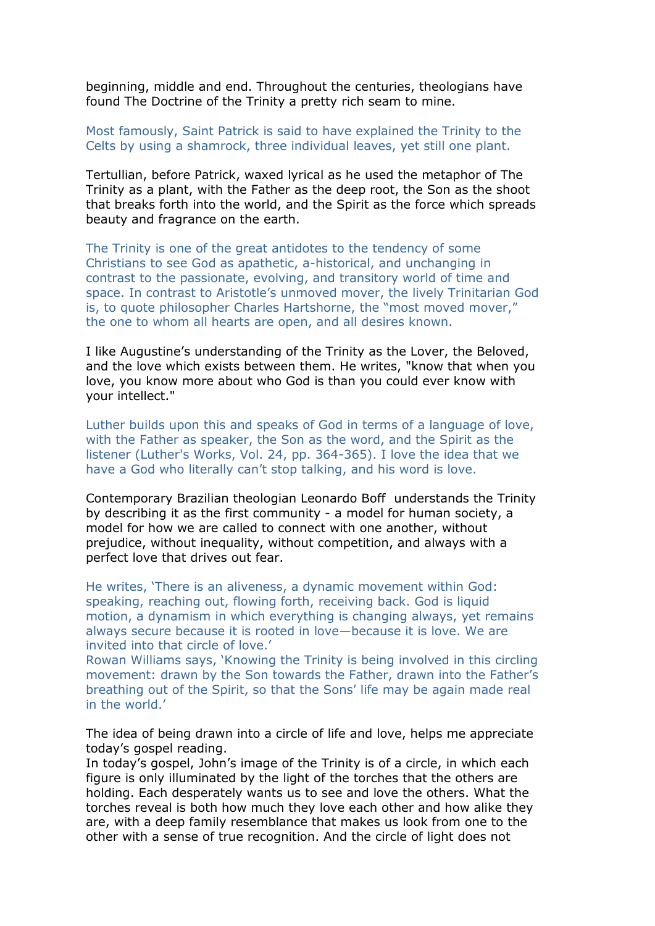beginning, middle and end. Throughout the centuries, theologians have found The Doctrine of the Trinity a pretty rich seam to mine.

Most famously, Saint Patrick is said to have explained the Trinity to the Celts by using a shamrock, three individual leaves, yet still one plant.

Tertullian, before Patrick, waxed lyrical as he used the metaphor of The Trinity as a plant, with the Father as the deep root, the Son as the shoot that breaks forth into the world, and the Spirit as the force which spreads beauty and fragrance on the earth.

The Trinity is one of the great antidotes to the tendency of some Christians to see God as apathetic, a-historical, and unchanging in contrast to the passionate, evolving, and transitory world of time and space. In contrast to Aristotle's unmoved mover, the lively Trinitarian God is, to quote philosopher Charles Hartshorne, the "most moved mover," the one to whom all hearts are open, and all desires known.

I like Augustine's understanding of the Trinity as the Lover, the Beloved, and the love which exists between them. He writes, "know that when you love, you know more about who God is than you could ever know with your intellect."

Luther builds upon this and speaks of God in terms of a language of love, with the Father as speaker, the Son as the word, and the Spirit as the listener (Luther's Works, Vol. 24, pp. 364-365). I love the idea that we have a God who literally can't stop talking, and his word is love.

Contemporary Brazilian theologian Leonardo Boff understands the Trinity by describing it as the first community - a model for human society, a model for how we are called to connect with one another, without prejudice, without inequality, without competition, and always with a perfect love that drives out fear.

He writes, 'There is an aliveness, a dynamic movement within God: speaking, reaching out, flowing forth, receiving back. God is liquid motion, a dynamism in which everything is changing always, yet remains always secure because it is rooted in love—because it is love. We are invited into that circle of love.'

Rowan Williams says, 'Knowing the Trinity is being involved in this circling movement: drawn by the Son towards the Father, drawn into the Father's breathing out of the Spirit, so that the Sons' life may be again made real in the world.'

The idea of being drawn into a circle of life and love, helps me appreciate today's gospel reading.

In today's gospel, John's image of the Trinity is of a circle, in which each figure is only illuminated by the light of the torches that the others are holding. Each desperately wants us to see and love the others. What the torches reveal is both how much they love each other and how alike they are, with a deep family resemblance that makes us look from one to the other with a sense of true recognition. And the circle of light does not